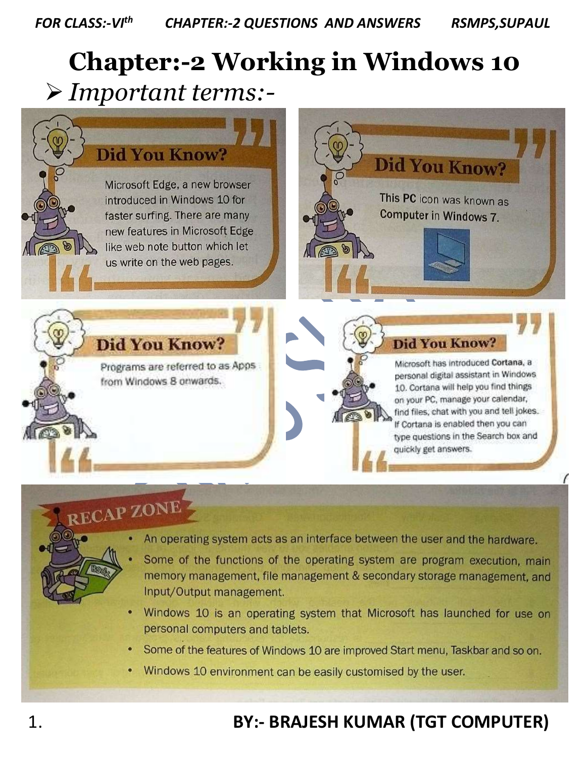## **Chapter:-2 Working in Windows 10** *Important terms:-*



- Windows 10 is an operating system that Microsoft has launched for use on personal computers and tablets.
- Some of the features of Windows 10 are improved Start menu, Taskbar and so on.
- Windows 10 environment can be easily customised by the user.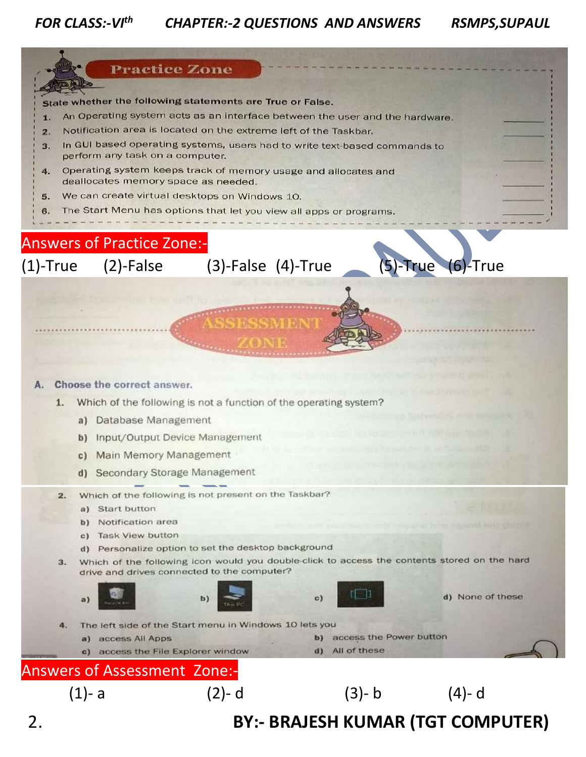## *FOR CLASS:-VIth CHAPTER:-2 QUESTIONS AND ANSWERS RSMPS,SUPAUL*

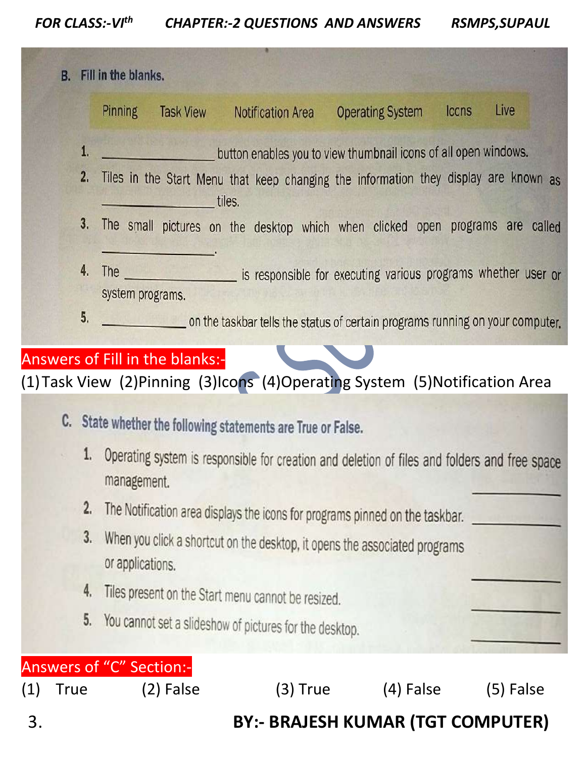*FOR CLASS:-VIth CHAPTER:-2 QUESTIONS AND ANSWERS RSMPS,SUPAUL*

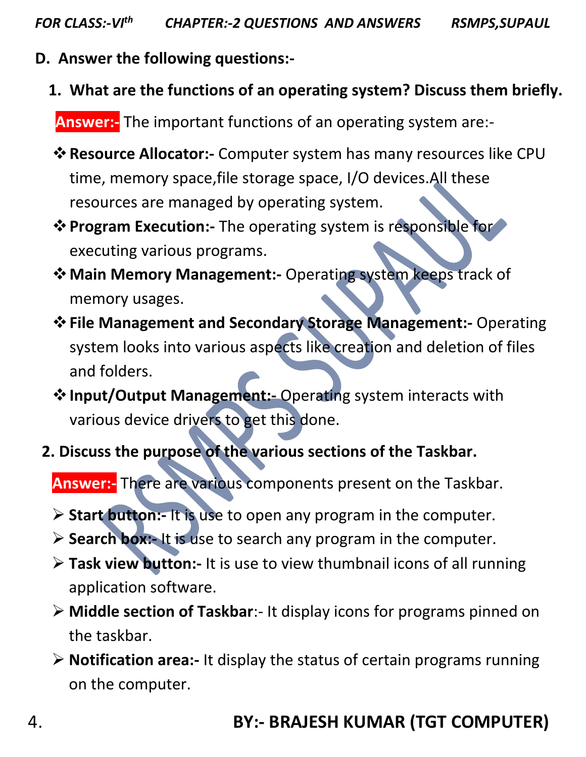- **D. Answer the following questions:-**
	- **1. What are the functions of an operating system? Discuss them briefly.**

**Answer:-** The important functions of an operating system are:-

- **Resource Allocator:-** Computer system has many resources like CPU time, memory space,file storage space, I/O devices.All these resources are managed by operating system.
- **Program Execution:-** The operating system is responsible for executing various programs.
- **Main Memory Management:-** Operating system keeps track of memory usages.
- **File Management and Secondary Storage Management:-** Operating system looks into various aspects like creation and deletion of files and folders.
- **Input/Output Management:-** Operating system interacts with various device drivers to get this done.
- **2. Discuss the purpose of the various sections of the Taskbar.**

**Answer:-** There are various components present on the Taskbar.

- **Start button:-** It is use to open any program in the computer.
- **Search box:-** It is use to search any program in the computer.
- **Task view button:-** It is use to view thumbnail icons of all running application software.
- **Middle section of Taskbar**:- It display icons for programs pinned on the taskbar.
- **Notification area:-** It display the status of certain programs running on the computer.